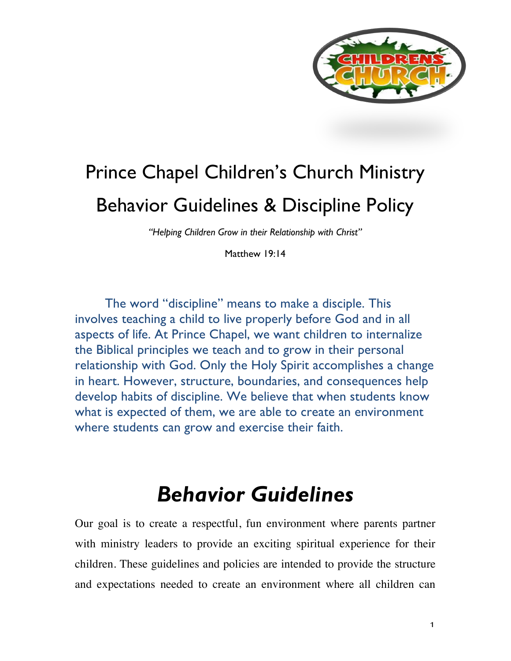

# Prince Chapel Children's Church Ministry Behavior Guidelines & Discipline Policy

*"Helping Children Grow in their Relationship with Christ"*

Matthew 19:14

The word "discipline" means to make a disciple. This involves teaching a child to live properly before God and in all aspects of life. At Prince Chapel, we want children to internalize the Biblical principles we teach and to grow in their personal relationship with God. Only the Holy Spirit accomplishes a change in heart. However, structure, boundaries, and consequences help develop habits of discipline. We believe that when students know what is expected of them, we are able to create an environment where students can grow and exercise their faith.

## *Behavior Guidelines*

Our goal is to create a respectful, fun environment where parents partner with ministry leaders to provide an exciting spiritual experience for their children. These guidelines and policies are intended to provide the structure and expectations needed to create an environment where all children can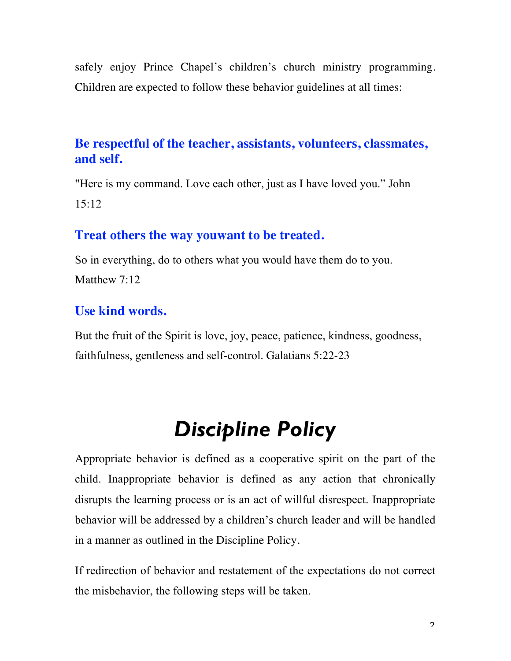safely enjoy Prince Chapel's children's church ministry programming. Children are expected to follow these behavior guidelines at all times:

## **Be respectful of the teacher, assistants, volunteers, classmates, and self.**

"Here is my command. Love each other, just as I have loved you." John 15:12

### **Treat others the way youwant to be treated.**

So in everything, do to others what you would have them do to you. Matthew 7:12

## **Use kind words.**

But the fruit of the Spirit is love, joy, peace, patience, kindness, goodness, faithfulness, gentleness and self-control. Galatians 5:22-23

## *Discipline Policy*

Appropriate behavior is defined as a cooperative spirit on the part of the child. Inappropriate behavior is defined as any action that chronically disrupts the learning process or is an act of willful disrespect. Inappropriate behavior will be addressed by a children's church leader and will be handled in a manner as outlined in the Discipline Policy.

If redirection of behavior and restatement of the expectations do not correct the misbehavior, the following steps will be taken.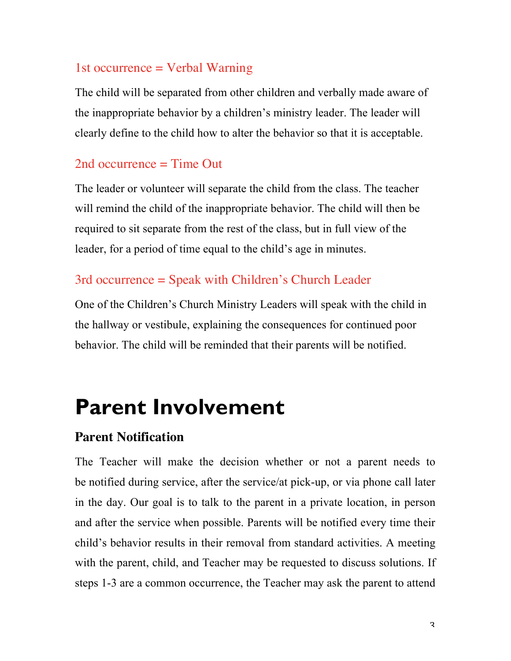#### 1st occurrence = Verbal Warning

The child will be separated from other children and verbally made aware of the inappropriate behavior by a children's ministry leader. The leader will clearly define to the child how to alter the behavior so that it is acceptable.

#### 2nd occurrence = Time Out

The leader or volunteer will separate the child from the class. The teacher will remind the child of the inappropriate behavior. The child will then be required to sit separate from the rest of the class, but in full view of the leader, for a period of time equal to the child's age in minutes.

## 3rd occurrence = Speak with Children's Church Leader

One of the Children's Church Ministry Leaders will speak with the child in the hallway or vestibule, explaining the consequences for continued poor behavior. The child will be reminded that their parents will be notified.

## **Parent Involvement**

#### **Parent Notification**

The Teacher will make the decision whether or not a parent needs to be notified during service, after the service/at pick-up, or via phone call later in the day. Our goal is to talk to the parent in a private location, in person and after the service when possible. Parents will be notified every time their child's behavior results in their removal from standard activities. A meeting with the parent, child, and Teacher may be requested to discuss solutions. If steps 1-3 are a common occurrence, the Teacher may ask the parent to attend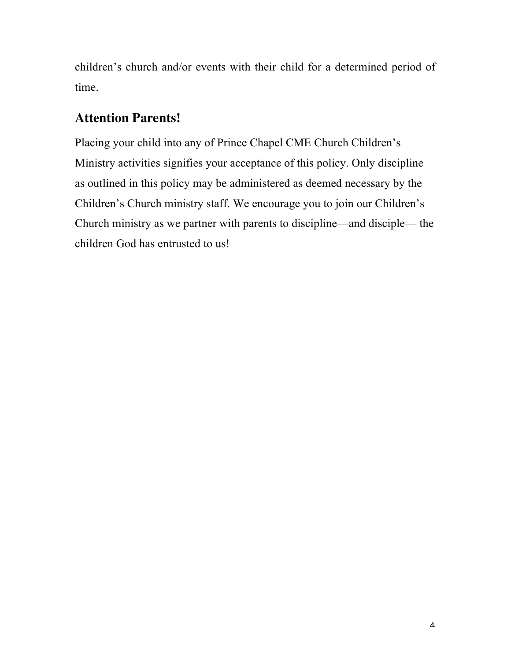children's church and/or events with their child for a determined period of time.

## **Attention Parents!**

Placing your child into any of Prince Chapel CME Church Children's Ministry activities signifies your acceptance of this policy. Only discipline as outlined in this policy may be administered as deemed necessary by the Children's Church ministry staff. We encourage you to join our Children's Church ministry as we partner with parents to discipline—and disciple— the children God has entrusted to us!